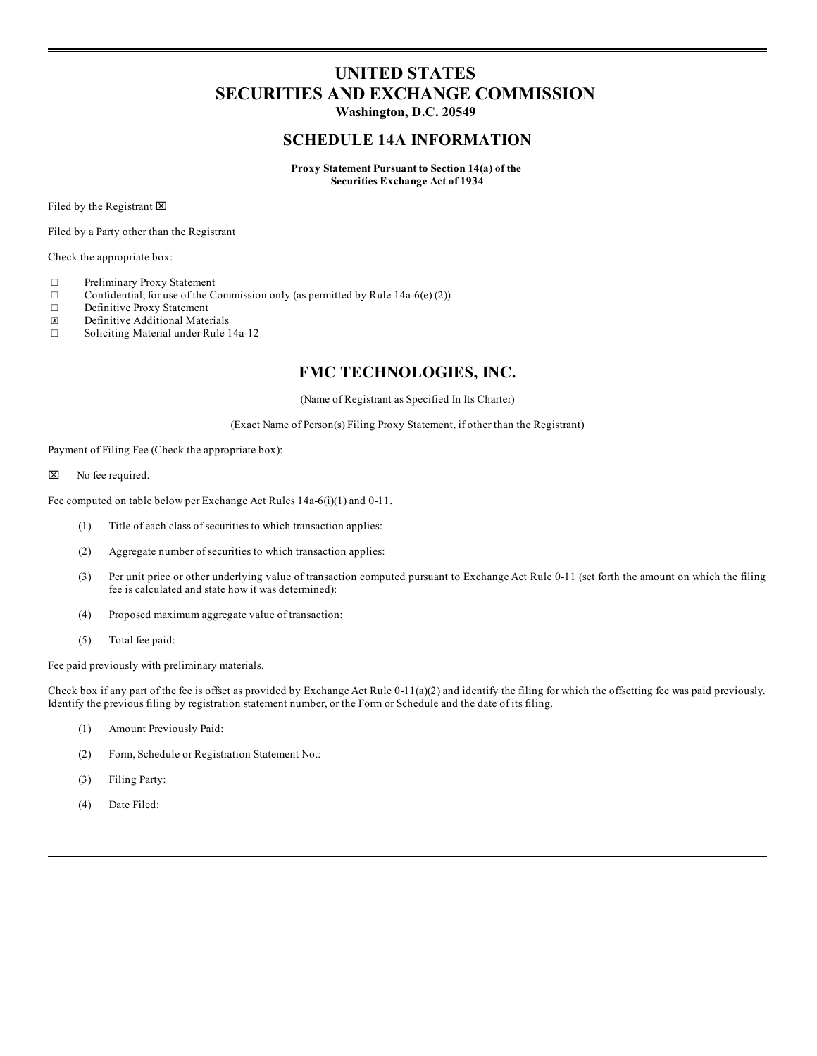# **UNITED STATES SECURITIES AND EXCHANGE COMMISSION**

**Washington, D.C. 20549**

#### **SCHEDULE 14A INFORMATION**

**Proxy Statement Pursuant to Section 14(a) of the Securities Exchange Act of 1934**

Filed by the Registrant  $\boxtimes$ 

Filed by a Party other than the Registrant

Check the appropriate box:

- ☐ Preliminary Proxy Statement
- $\Box$  Confidential, for use of the Commission only (as permitted by Rule 14a-6(e) (2))
- □ Definitive Proxy Statement<br> **N** Definitive Additional Mate
- ☒ Definitive Additional Materials
- ☐ Soliciting Material under Rule 14a-12

### **FMC TECHNOLOGIES, INC.**

(Name of Registrant as Specified In Its Charter)

(Exact Name of Person(s) Filing Proxy Statement, if other than the Registrant)

Payment of Filing Fee (Check the appropriate box):

 $\boxtimes$  No fee required.

Fee computed on table below per Exchange Act Rules 14a-6(i)(1) and 0-11.

- (1) Title of each class of securities to which transaction applies:
- (2) Aggregate number of securities to which transaction applies:
- (3) Per unit price or other underlying value of transaction computed pursuant to Exchange Act Rule 0-11 (set forth the amount on which the filing fee is calculated and state how it was determined):
- (4) Proposed maximum aggregate value of transaction:
- (5) Total fee paid:

Fee paid previously with preliminary materials.

Check box if any part of the fee is offset as provided by Exchange Act Rule 0-11(a)(2) and identify the filing for which the offsetting fee was paid previously. Identify the previous filing by registration statement number, or the Form or Schedule and the date of its filing.

- (1) Amount Previously Paid:
- (2) Form, Schedule or Registration Statement No.:
- (3) Filing Party:
- (4) Date Filed: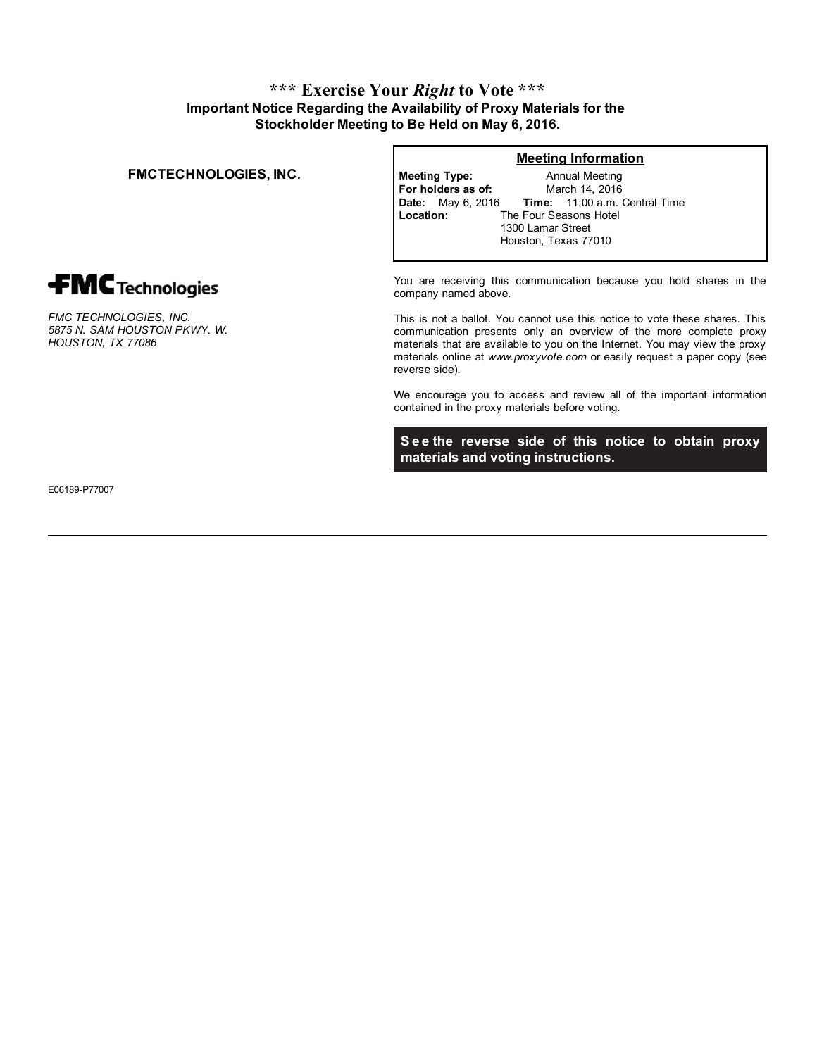## **\*\*\* Exercise Your** *Right* **to Vote \*\*\* Important Notice Regarding the Availability of Proxy Materials for the Stockholder Meeting to Be Held on May 6, 2016.**

#### **FMCTECHNOLOGIES, INC. Meeting Type:**

**fMC** Technologies

*FMC TECHNOLOGIES, INC. 5875 N. SAM HOUSTON PKWY. W. HOUSTON, TX 77086*

**Meeting Information**

**For holders as of:** Annual Meeting March 14, 2016 **Date:** May 6, 2016 **Time:** 11:00 a.m. Central Time **Location:** The Four Seasons Hotel 1300 Lamar Street Houston, Texas 77010

You are receiving this communication because you hold shares in the company named above.

This is not a ballot. You cannot use this notice to vote these shares. This communication presents only an overview of the more complete proxy materials that are available to you on the Internet. You may view the proxy materials online at *www.proxyvote.com* or easily request a paper copy (see reverse side).

We encourage you to access and review all of the important information contained in the proxy materials before voting.

**S e e the reverse side of this notice to obtain proxy materials and voting instructions.**

E06189-P77007

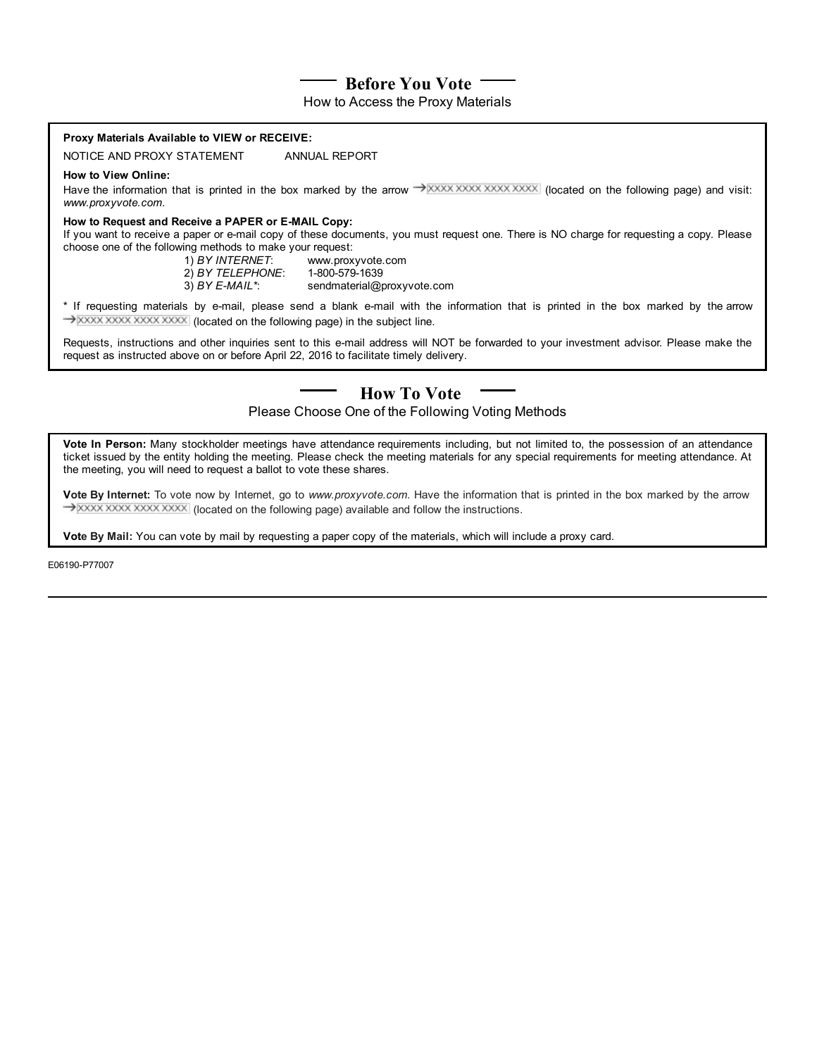# **Before You Vote**

How to Access the Proxy Materials

| Proxy Materials Available to VIEW or RECEIVE:                                                                                                                                                                                      |                                                                                                                                                                                                                                                               |
|------------------------------------------------------------------------------------------------------------------------------------------------------------------------------------------------------------------------------------|---------------------------------------------------------------------------------------------------------------------------------------------------------------------------------------------------------------------------------------------------------------|
| NOTICE AND PROXY STATEMENT                                                                                                                                                                                                         | ANNUAL REPORT                                                                                                                                                                                                                                                 |
| <b>How to View Online:</b><br>www.proxyvote.com.                                                                                                                                                                                   | Have the information that is printed in the box marked by the arrow $\rightarrow$ XXXX XXXX XXXX (located on the following page) and visit:                                                                                                                   |
| How to Request and Receive a PAPER or E-MAIL Copy:<br>choose one of the following methods to make your request:                                                                                                                    | If you want to receive a paper or e-mail copy of these documents, you must request one. There is NO charge for requesting a copy. Please<br>1) BY INTERNET: www.proxyvote.com<br>2) BY TELEPHONE: 1-800-579-1639<br>3) BY E-MAIL*: sendmaterial@proxyvote.com |
| * If requesting materials by e-mail, please send a blank e-mail with the information that is printed in the box marked by the arrow                                                                                                |                                                                                                                                                                                                                                                               |
| Requests, instructions and other inquiries sent to this e-mail address will NOT be forwarded to your investment advisor. Please make the<br>request as instructed above on or before April 22, 2016 to facilitate timely delivery. |                                                                                                                                                                                                                                                               |
| <b>How To Vote</b>                                                                                                                                                                                                                 |                                                                                                                                                                                                                                                               |

Please Choose One of the Following Voting Methods

**Vote In Person:** Many stockholder meetings have attendance requirements including, but not limited to, the possession of an attendance ticket issued by the entity holding the meeting. Please check the meeting materials for any special requirements for meeting attendance. At the meeting, you will need to request a ballot to vote these shares.

**Vote By Internet:** To vote now by Internet, go to *www.proxyvote.com.* Have the information that is printed in the box marked by the arrow  $\rightarrow$  XXXX XXXX XXXX (located on the following page) available and follow the instructions.

**Vote By Mail:** You can vote by mail by requesting a paper copy of the materials, which will include a proxy card.

E06190-P77007